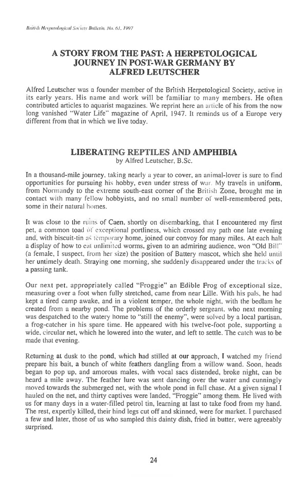## **A STORY FROM THE PAST: A HERPETOLOGICAL JOURNEY IN POST-WAR GERMANY BY ALFRED LEUTSCHER**

Alfred Leutscher was a founder member of the British Herpetological Society, active in its early years. His name and work will be familiar to many members. He often contributed articles to aquarist magazines. We reprint here an article of his from the now long vanished "Water Life" magazine of April, 1947. It reminds us of a Europe very different from that in which we live today.

## **LIBERATING REPTILES AND AMPHIBIA**  by Alfred Leutscher, B.Sc.

In a thousand-mile journey, taking nearly a year to cover, an animal-lover is sure to find opportunities for pursuing his hobby, even under stress of war. My travels in uniform, from Normandy to the extreme south-east corner of the British Zone, brought me in contact with many fellow hobbyists, and no small number of well-remembered pets, some in their natural homes.

It was close to the ruins of Caen, shortly on disembarking, that I encountered my first pet, a common toad of exceptional portliness, which crossed my path one late evening and, with biscuit-tin as temporary home, joined our convoy for many miles. At each halt a display of how to eat unlimited worms, given to an admiring audience, won "Old Bill" (a female, I suspect, from her size) the position of Battery mascot, which she held until her untimely death. Straying one morning, she suddenly disappeared under the tracks of a passing tank.

Our next pet, appropriately called "Froggie" an Edible Frog of exceptional size, measuring over a foot when fully stretched, came from near Lille. With his pals, he had kept a tired camp awake, and in a violent temper, the whole night, with the bedlam he created from a nearby pond. The problems of the orderly sergeant, who next morning was despatched to the watery home to "still the enemy", were solved by a local partisan, a frog-catcher in his spare time. He appeared with his twelve-foot pole, supporting a wide, circular net, which he lowered into the water, and left to settle. The catch was to be made that evening.

Returning at dusk to the pond, which had stilled at our approach, I watched my friend prepare his bait, a bunch of white feathers dangling from a willow wand. Soon, heads began to pop up, and amorous males, with vocal sacs distended, broke night, can be heard a mile away. The feather lure was sent dancing over the water and cunningly moved towards the submerged net, with the whole pond in full chase. At a given signal I hauled on the net, and thirty captives were landed, "Froggie" among them. He lived with us for many days in a water-filled petrol tin, learning at last to take food from my hand. The rest, expertly killed, their hind legs cut off and skinned, were for market. I purchased a few and later, those of us who sampled this dainty dish, fried in butter, were agreeably surprised.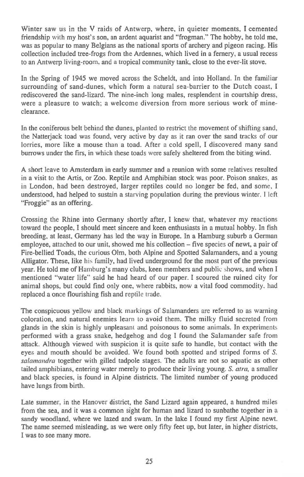Winter saw us in the V raids of Antwerp, where, in quieter moments, I cemented friendship with my host's son, an ardent aquarist and "frogman." The hobby, he told me, was as popular to many Belgians as the national sports of archery and pigeon racing. His collection included tree-frogs from the Ardennes, which lived in a fernery, a usual recess to an Antwerp living-room, and a tropical community tank, close to the ever-lit stove.

In the Spring of 1945 we moved across the Scheldt, and into Holland. In the familiar surrounding of sand-dunes, which form a natural sea-barrier to the Dutch coast, I rediscovered the sand-lizard. The nine-inch long males, resplendent in courtship dress, were a pleasure to watch; a welcome diversion from more serious work of mineclearance.

In the coniferous belt behind the dunes, planted to restrict the movement of shifting sand, the Natterjack toad was found, very active by day as it ran over the sand tracks of our lorries, more like a mouse than a toad. After a cold spell, I discovered many sand burrows under the firs, in which these toads were safely sheltered from the biting wind.

A short leave to Amsterdam in early summer and a reunion with some relatives resulted in a visit to the Artis, or Zoo. Reptile and Amphibian stock was poor. Poison snakes, as in London, had been destroyed, larger reptiles could no longer be fed, and some, I understood, had helped to sustain a starving population during the previous winter. I left "Froggie" as an offering.

Crossing the Rhine into Germany shortly after, I knew that, whatever my reactions toward the people, I should meet sincere and keen enthusiasts in a mutual hobby. In fish breeding, at least, Germany has led the way in Europe. In a Hamburg suburb a German employee, attached to our unit, showed me his collection — five species of newt, a pair of Fire-bellied Toads, the curious 01m, both Alpine and Spotted Salamanders, and a young Alligator. These, like his family, had lived underground for the most part of the previous year. He told me of Hamburg's many clubs, keen members and public shows, and when I mentioned "water life" said he had heard of our paper. I scoured the ruined city for animal shops, but could find only one, where rabbits, now a vital food commodity. had replaced a once flourishing fish and reptile trade.

The conspicuous yellow and black markings of Salamanders are referred to as warning coloration, and natural enemies learn to avoid them. The milky fluid secreted from glands in the skin is highly unpleasant and poisonous to some animals. In experiments performed with a grass snake, hedgehog and dog I found the Salamander safe from attack. Although viewed with suspicion it is quite safe to handle, but contact with the eyes and mouth should be avoided. We found both spotted and striped forms of *S. salamandra* together with gilled tadpole stages. The adults are not so aquatic as other tailed amphibians, entering water merely to produce their living young. *S. atra,* a smaller and black species, is found in Alpine districts. The limited number of young produced have lungs from birth.

Late summer, in the Hanover district, the Sand Lizard again appeared, a hundred miles from the sea, and it was a common sight for human and lizard to sunbathe together in a sandy woodland, where we lazed and swam. In the lake I found my first Alpine newt. The name seemed misleading, as we were only fifty feet up, but later, in higher districts, I was to see many more.